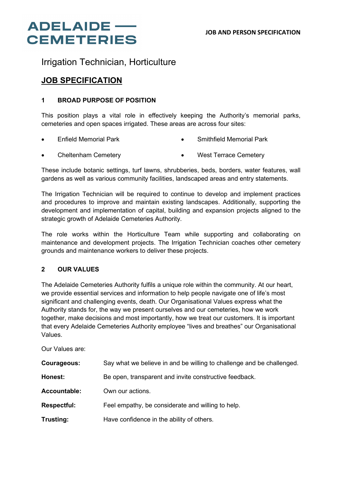## **ADELAIDE** — **CEMETERIES**

### Irrigation Technician, Horticulture

### **JOB SPECIFICATION**

### **1 BROAD PURPOSE OF POSITION**

This position plays a vital role in effectively keeping the Authority's memorial parks, cemeteries and open spaces irrigated. These areas are across four sites:

- Enfield Memorial Park • Smithfield Memorial Park
- Cheltenham Cemetery • West Terrace Cemetery

These include botanic settings, turf lawns, shrubberies, beds, borders, water features, wall gardens as well as various community facilities, landscaped areas and entry statements.

The Irrigation Technician will be required to continue to develop and implement practices and procedures to improve and maintain existing landscapes. Additionally, supporting the development and implementation of capital, building and expansion projects aligned to the strategic growth of Adelaide Cemeteries Authority.

The role works within the Horticulture Team while supporting and collaborating on maintenance and development projects. The Irrigation Technician coaches other cemetery grounds and maintenance workers to deliver these projects.

### **2 OUR VALUES**

The Adelaide Cemeteries Authority fulfils a unique role within the community. At our heart, we provide essential services and information to help people navigate one of life's most significant and challenging events, death. Our Organisational Values express what the Authority stands for, the way we present ourselves and our cemeteries, how we work together, make decisions and most importantly, how we treat our customers. It is important that every Adelaide Cemeteries Authority employee "lives and breathes" our Organisational Values.

Our Values are:

| Courageous:        | Say what we believe in and be willing to challenge and be challenged. |
|--------------------|-----------------------------------------------------------------------|
| Honest:            | Be open, transparent and invite constructive feedback.                |
| Accountable:       | Own our actions.                                                      |
| <b>Respectful:</b> | Feel empathy, be considerate and willing to help.                     |
| Trusting:          | Have confidence in the ability of others.                             |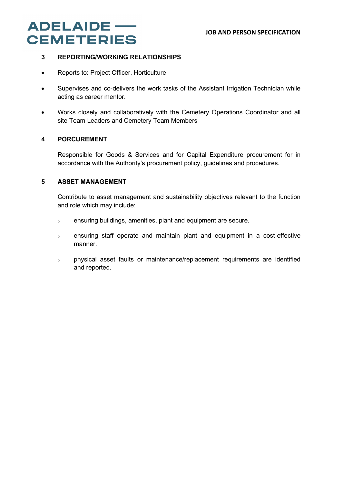#### **JOB AND PERSON SPECIFICATION**

## **ADELAIDE** -**CEMETERIES**

### **3 REPORTING/WORKING RELATIONSHIPS**

- Reports to: Project Officer, Horticulture
- Supervises and co-delivers the work tasks of the Assistant Irrigation Technician while acting as career mentor.
- Works closely and collaboratively with the Cemetery Operations Coordinator and all site Team Leaders and Cemetery Team Members

### **4 PORCUREMENT**

Responsible for Goods & Services and for Capital Expenditure procurement for in accordance with the Authority's procurement policy, guidelines and procedures.

### **5 ASSET MANAGEMENT**

Contribute to asset management and sustainability objectives relevant to the function and role which may include:

- o ensuring buildings, amenities, plant and equipment are secure.
- o ensuring staff operate and maintain plant and equipment in a cost-effective manner.
- o physical asset faults or maintenance/replacement requirements are identified and reported.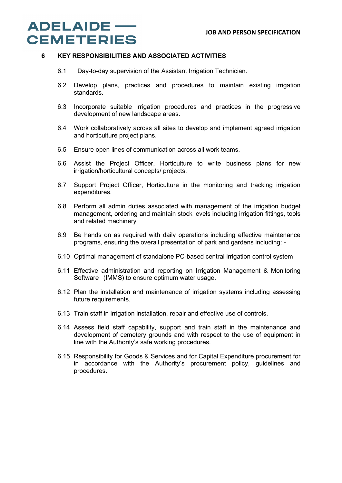## **ADELAIDE** -**CEMETERIES**

#### **6 KEY RESPONSIBILITIES AND ASSOCIATED ACTIVITIES**

- 6.1 Day-to-day supervision of the Assistant Irrigation Technician.
- 6.2 Develop plans, practices and procedures to maintain existing irrigation standards.
- 6.3 Incorporate suitable irrigation procedures and practices in the progressive development of new landscape areas.
- 6.4 Work collaboratively across all sites to develop and implement agreed irrigation and horticulture project plans.
- 6.5 Ensure open lines of communication across all work teams.
- 6.6 Assist the Project Officer, Horticulture to write business plans for new irrigation/horticultural concepts/ projects.
- 6.7 Support Project Officer, Horticulture in the monitoring and tracking irrigation expenditures.
- 6.8 Perform all admin duties associated with management of the irrigation budget management, ordering and maintain stock levels including irrigation fittings, tools and related machinery
- 6.9 Be hands on as required with daily operations including effective maintenance programs, ensuring the overall presentation of park and gardens including: -
- 6.10 Optimal management of standalone PC-based central irrigation control system
- 6.11 Effective administration and reporting on Irrigation Management & Monitoring Software (IMMS) to ensure optimum water usage.
- 6.12 Plan the installation and maintenance of irrigation systems including assessing future requirements.
- 6.13 Train staff in irrigation installation, repair and effective use of controls.
- 6.14 Assess field staff capability, support and train staff in the maintenance and development of cemetery grounds and with respect to the use of equipment in line with the Authority's safe working procedures.
- 6.15 Responsibility for Goods & Services and for Capital Expenditure procurement for in accordance with the Authority's procurement policy, guidelines and procedures.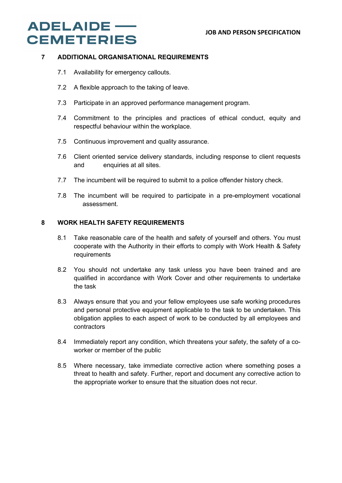## **ADELAIDE** — **CEMETERIES**

### **7 ADDITIONAL ORGANISATIONAL REQUIREMENTS**

- 7.1 Availability for emergency callouts.
- 7.2 A flexible approach to the taking of leave.
- 7.3 Participate in an approved performance management program.
- 7.4 Commitment to the principles and practices of ethical conduct, equity and respectful behaviour within the workplace.
- 7.5 Continuous improvement and quality assurance.
- 7.6 Client oriented service delivery standards, including response to client requests and enquiries at all sites.
- 7.7 The incumbent will be required to submit to a police offender history check.
- 7.8 The incumbent will be required to participate in a pre-employment vocational assessment.

### **8 WORK HEALTH SAFETY REQUIREMENTS**

- 8.1 Take reasonable care of the health and safety of yourself and others. You must cooperate with the Authority in their efforts to comply with Work Health & Safety requirements
- 8.2 You should not undertake any task unless you have been trained and are qualified in accordance with Work Cover and other requirements to undertake the task
- 8.3 Always ensure that you and your fellow employees use safe working procedures and personal protective equipment applicable to the task to be undertaken. This obligation applies to each aspect of work to be conducted by all employees and contractors
- 8.4 Immediately report any condition, which threatens your safety, the safety of a coworker or member of the public
- 8.5 Where necessary, take immediate corrective action where something poses a threat to health and safety. Further, report and document any corrective action to the appropriate worker to ensure that the situation does not recur.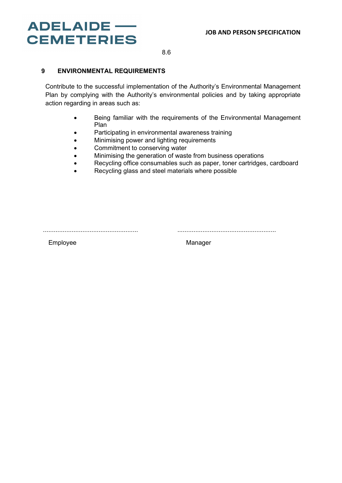# **ADELAIDE** -**CEMETERIES**

8.6

### **9 ENVIRONMENTAL REQUIREMENTS**

Contribute to the successful implementation of the Authority's Environmental Management Plan by complying with the Authority's environmental policies and by taking appropriate action regarding in areas such as:

- Being familiar with the requirements of the Environmental Management Plan
- Participating in environmental awareness training
- Minimising power and lighting requirements
- Commitment to conserving water
- Minimising the generation of waste from business operations
- Recycling office consumables such as paper, toner cartridges, cardboard
- Recycling glass and steel materials where possible

..................................................... .......................................................

Employee Manager